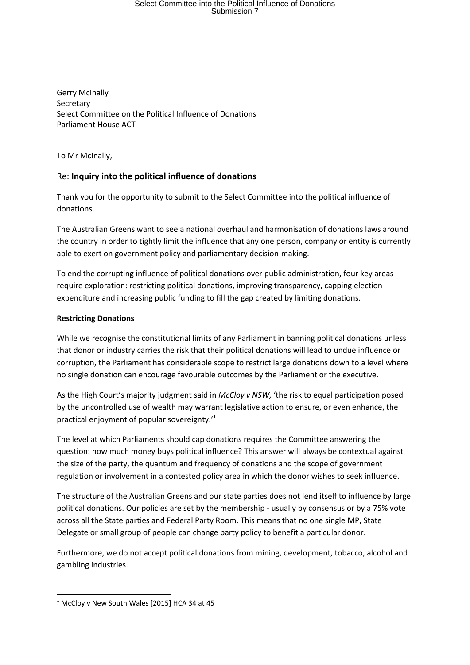# Select Committee into the Political Influence of Donations Submission 7

Gerry McInally Secretary Select Committee on the Political Influence of Donations Parliament House ACT

To Mr McInally,

### Re: **Inquiry into the political influence of donations**

Thank you for the opportunity to submit to the Select Committee into the political influence of donations.

The Australian Greens want to see a national overhaul and harmonisation of donations laws around the country in order to tightly limit the influence that any one person, company or entity is currently able to exert on government policy and parliamentary decision-making.

To end the corrupting influence of political donations over public administration, four key areas require exploration: restricting political donations, improving transparency, capping election expenditure and increasing public funding to fill the gap created by limiting donations.

### **Restricting Donations**

While we recognise the constitutional limits of any Parliament in banning political donations unless that donor or industry carries the risk that their political donations will lead to undue influence or corruption, the Parliament has considerable scope to restrict large donations down to a level where no single donation can encourage favourable outcomes by the Parliament or the executive.

As the High Court's majority judgment said in *McCloy v NSW,* 'the risk to equal participation posed by the uncontrolled use of wealth may warrant legislative action to ensure, or even enhance, the practical enjoyment of popular sovereignty.'<sup>1</sup>

The level at which Parliaments should cap donations requires the Committee answering the question: how much money buys political influence? This answer will always be contextual against the size of the party, the quantum and frequency of donations and the scope of government regulation or involvement in a contested policy area in which the donor wishes to seek influence.

The structure of the Australian Greens and our state parties does not lend itself to influence by large political donations. Our policies are set by the membership - usually by consensus or by a 75% vote across all the State parties and Federal Party Room. This means that no one single MP, State Delegate or small group of people can change party policy to benefit a particular donor.

Furthermore, we do not accept political donations from mining, development, tobacco, alcohol and gambling industries.

**.** 

 $1$  McClov v New South Wales [2015] HCA 34 at 45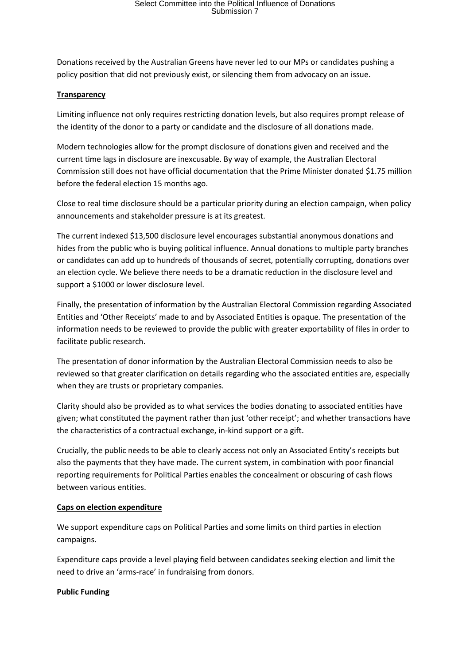## Select Committee into the Political Influence of Donations<br>Submission 7

Donations received by the Australian Greens have never led to our MPs or candidates pushing a policy position that did not previously exist, or silencing them from advocacy on an issue.

#### **Transparency**

Limiting influence not only requires restricting donation levels, but also requires prompt release of the identity of the donor to a party or candidate and the disclosure of all donations made.

Modern technologies allow for the prompt disclosure of donations given and received and the current time lags in disclosure are inexcusable. By way of example, the Australian Electoral Commission still does not have official documentation that the Prime Minister donated \$1.75 million before the federal election 15 months ago.

Close to real time disclosure should be a particular priority during an election campaign, when policy announcements and stakeholder pressure is at its greatest.

The current indexed \$13,500 disclosure level encourages substantial anonymous donations and hides from the public who is buying political influence. Annual donations to multiple party branches or candidates can add up to hundreds of thousands of secret, potentially corrupting, donations over an election cycle. We believe there needs to be a dramatic reduction in the disclosure level and support a \$1000 or lower disclosure level.

Finally, the presentation of information by the Australian Electoral Commission regarding Associated Entities and 'Other Receipts' made to and by Associated Entities is opaque. The presentation of the information needs to be reviewed to provide the public with greater exportability of files in order to facilitate public research.

The presentation of donor information by the Australian Electoral Commission needs to also be reviewed so that greater clarification on details regarding who the associated entities are, especially when they are trusts or proprietary companies.

Clarity should also be provided as to what services the bodies donating to associated entities have given; what constituted the payment rather than just 'other receipt'; and whether transactions have the characteristics of a contractual exchange, in-kind support or a gift.

Crucially, the public needs to be able to clearly access not only an Associated Entity's receipts but also the payments that they have made. The current system, in combination with poor financial reporting requirements for Political Parties enables the concealment or obscuring of cash flows between various entities.

#### **Caps on election expenditure**

We support expenditure caps on Political Parties and some limits on third parties in election campaigns.

Expenditure caps provide a level playing field between candidates seeking election and limit the need to drive an 'arms-race' in fundraising from donors.

#### **Public Funding**